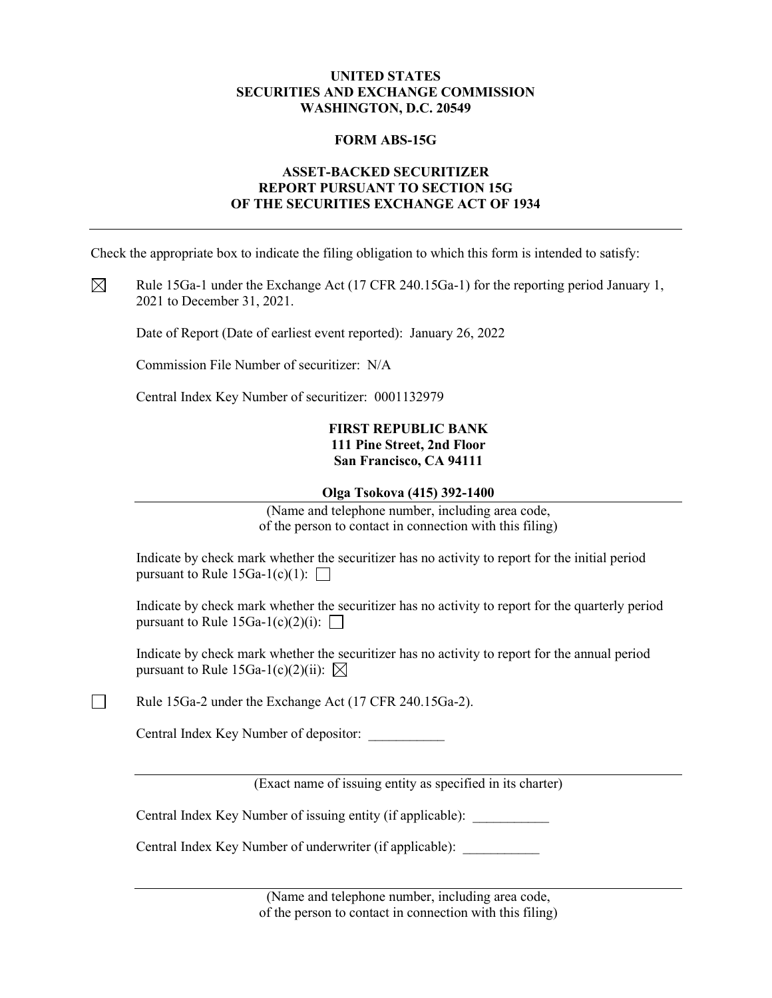### **UNITED STATES SECURITIES AND EXCHANGE COMMISSION WASHINGTON, D.C. 20549**

### **FORM ABS-15G**

### **ASSET-BACKED SECURITIZER REPORT PURSUANT TO SECTION 15G OF THE SECURITIES EXCHANGE ACT OF 1934**

Check the appropriate box to indicate the filing obligation to which this form is intended to satisfy:

 $\boxtimes$ Rule 15Ga-1 under the Exchange Act (17 CFR 240.15Ga-1) for the reporting period January 1, 2021 to December 31, 2021.

Date of Report (Date of earliest event reported): January 26, 2022

Commission File Number of securitizer: N/A

Central Index Key Number of securitizer: 0001132979

### **FIRST REPUBLIC BANK 111 Pine Street, 2nd Floor San Francisco, CA 94111**

#### **Olga Tsokova (415) 392-1400**

(Name and telephone number, including area code, of the person to contact in connection with this filing)

Indicate by check mark whether the securitizer has no activity to report for the initial period pursuant to Rule  $15Ga-1(c)(1)$ :

Indicate by check mark whether the securitizer has no activity to report for the quarterly period pursuant to Rule 15Ga-1(c)(2)(i):  $\Box$ 

Indicate by check mark whether the securitizer has no activity to report for the annual period pursuant to Rule 15Ga-1(c)(2)(ii):  $\boxtimes$ 

Rule 15Ga-2 under the Exchange Act (17 CFR 240.15Ga-2).

Central Index Key Number of depositor: \_\_\_\_\_\_\_\_\_\_\_

 $\Box$ 

(Exact name of issuing entity as specified in its charter)

Central Index Key Number of issuing entity (if applicable):

Central Index Key Number of underwriter (if applicable):

(Name and telephone number, including area code, of the person to contact in connection with this filing)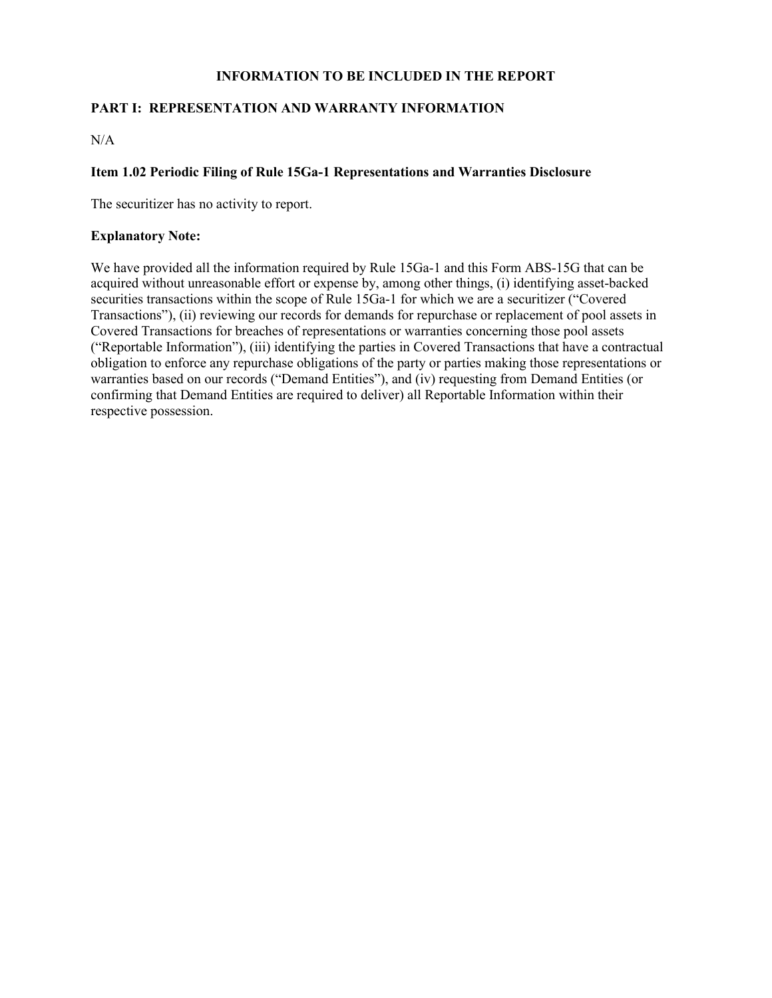## **INFORMATION TO BE INCLUDED IN THE REPORT**

# **PART I: REPRESENTATION AND WARRANTY INFORMATION**

 $N/A$ 

### **Item 1.02 Periodic Filing of Rule 15Ga-1 Representations and Warranties Disclosure**

The securitizer has no activity to report.

### **Explanatory Note:**

We have provided all the information required by Rule 15Ga-1 and this Form ABS-15G that can be acquired without unreasonable effort or expense by, among other things, (i) identifying asset-backed securities transactions within the scope of Rule 15Ga-1 for which we are a securitizer ("Covered Transactions"), (ii) reviewing our records for demands for repurchase or replacement of pool assets in Covered Transactions for breaches of representations or warranties concerning those pool assets ("Reportable Information"), (iii) identifying the parties in Covered Transactions that have a contractual obligation to enforce any repurchase obligations of the party or parties making those representations or warranties based on our records ("Demand Entities"), and (iv) requesting from Demand Entities (or confirming that Demand Entities are required to deliver) all Reportable Information within their respective possession.